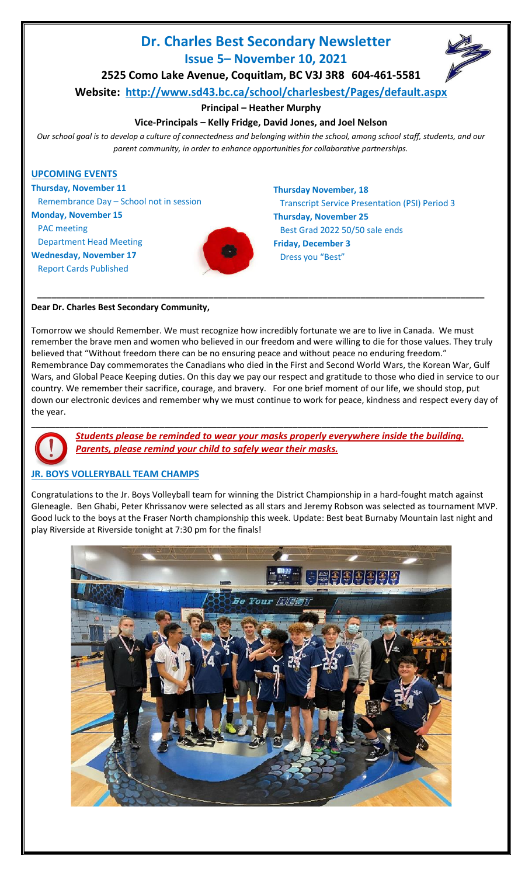# **Dr. Charles Best Secondary Newsletter Issue 5– November 10, 2021**



**2525 Como Lake Avenue, Coquitlam, BC V3J 3R8 604-461-5581**

**Website: <http://www.sd43.bc.ca/school/charlesbest/Pages/default.aspx>**

## **Principal – Heather Murphy**

## **Vice-Principals – Kelly Fridge, David Jones, and Joel Nelson**

*Our school goal is to develop a culture of connectedness and belonging within the school, among school staff, students, and our parent community, in order to enhance opportunities for collaborative partnerships.*



**Dear Dr. Charles Best Secondary Community,**

Tomorrow we should Remember. We must recognize how incredibly fortunate we are to live in Canada. We must remember the brave men and women who believed in our freedom and were willing to die for those values. They truly believed that "Without freedom there can be no ensuring peace and without peace no enduring freedom." Remembrance Day commemorates the Canadians who died in the First and Second World Wars, the Korean War, Gulf Wars, and Global Peace Keeping duties. On this day we pay our respect and gratitude to those who died in service to our country. We remember their sacrifice, courage, and bravery. For one brief moment of our life, we should stop, put down our electronic devices and remember why we must continue to work for peace, kindness and respect every day of the year.



*Students please be reminded to wear your masks properly everywhere inside the building. Parents, please remind your child to safely wear their masks.*

## **JR. BOYS VOLLERYBALL TEAM CHAMPS**

Congratulations to the Jr. Boys Volleyball team for winning the District Championship in a hard-fought match against Gleneagle. Ben Ghabi, Peter Khrissanov were selected as all stars and Jeremy Robson was selected as tournament MVP. Good luck to the boys at the Fraser North championship this week. Update: Best beat Burnaby Mountain last night and play Riverside at Riverside tonight at 7:30 pm for the finals!

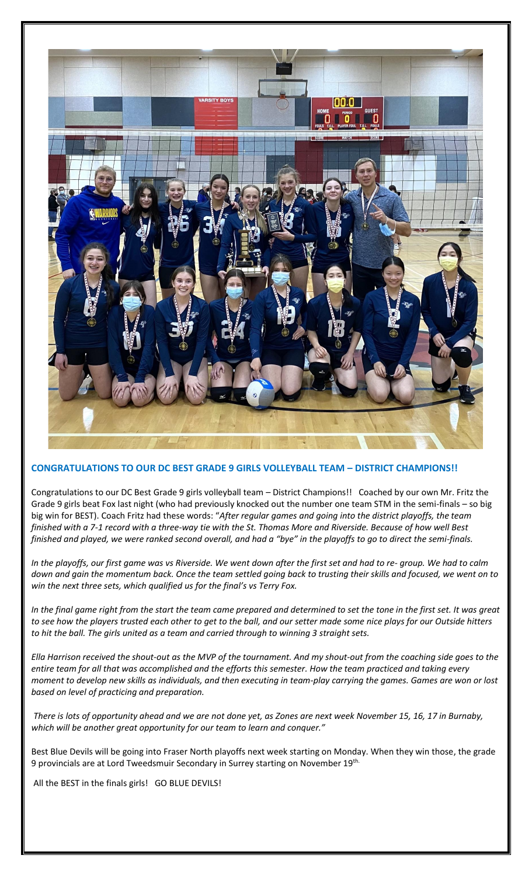

#### **CONGRATULATIONS TO OUR DC BEST GRADE 9 GIRLS VOLLEYBALL TEAM – DISTRICT CHAMPIONS!!**

Congratulations to our DC Best Grade 9 girls volleyball team – District Champions!! Coached by our own Mr. Fritz the Grade 9 girls beat Fox last night (who had previously knocked out the number one team STM in the semi-finals – so big big win for BEST). Coach Fritz had these words: "*After regular games and going into the district playoffs, the team finished with a 7-1 record with a three-way tie with the St. Thomas More and Riverside. Because of how well Best finished and played, we were ranked second overall, and had a "bye" in the playoffs to go to direct the semi-finals.* 

*In the playoffs, our first game was vs Riverside. We went down after the first set and had to re- group. We had to calm down and gain the momentum back. Once the team settled going back to trusting their skills and focused, we went on to win the next three sets, which qualified us for the final's vs Terry Fox.* 

*In the final game right from the start the team came prepared and determined to set the tone in the first set. It was great to see how the players trusted each other to get to the ball, and our setter made some nice plays for our Outside hitters to hit the ball. The girls united as a team and carried through to winning 3 straight sets.* 

*Ella Harrison received the shout-out as the MVP of the tournament. And my shout-out from the coaching side goes to the entire team for all that was accomplished and the efforts this semester. How the team practiced and taking every moment to develop new skills as individuals, and then executing in team-play carrying the games. Games are won or lost based on level of practicing and preparation.*

*There is lots of opportunity ahead and we are not done yet, as Zones are next week November 15, 16, 17 in Burnaby, which will be another great opportunity for our team to learn and conquer."*

Best Blue Devils will be going into Fraser North playoffs next week starting on Monday. When they win those, the grade 9 provincials are at Lord Tweedsmuir Secondary in Surrey starting on November 19th.

All the BEST in the finals girls! GO BLUE DEVILS!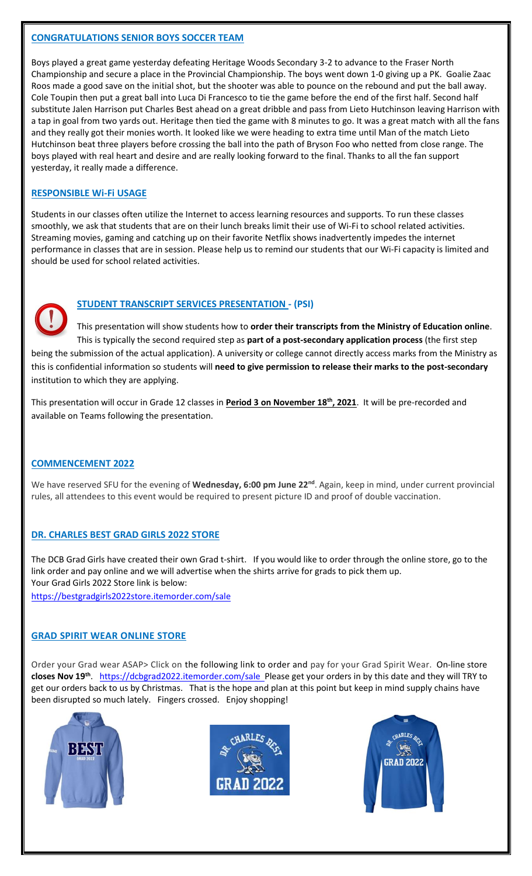### **CONGRATULATIONS SENIOR BOYS SOCCER TEAM**

Boys played a great game yesterday defeating Heritage Woods Secondary 3-2 to advance to the Fraser North Championship and secure a place in the Provincial Championship. The boys went down 1-0 giving up a PK. Goalie Zaac Roos made a good save on the initial shot, but the shooter was able to pounce on the rebound and put the ball away. Cole Toupin then put a great ball into Luca Di Francesco to tie the game before the end of the first half. Second half substitute Jalen Harrison put Charles Best ahead on a great dribble and pass from Lieto Hutchinson leaving Harrison with a tap in goal from two yards out. Heritage then tied the game with 8 minutes to go. It was a great match with all the fans and they really got their monies worth. It looked like we were heading to extra time until Man of the match Lieto Hutchinson beat three players before crossing the ball into the path of Bryson Foo who netted from close range. The boys played with real heart and desire and are really looking forward to the final. Thanks to all the fan support yesterday, it really made a difference.

### **RESPONSIBLE Wi-Fi USAGE**

Students in our classes often utilize the Internet to access learning resources and supports. To run these classes smoothly, we ask that students that are on their lunch breaks limit their use of Wi-Fi to school related activities. Streaming movies, gaming and catching up on their favorite Netflix shows inadvertently impedes the internet performance in classes that are in session. Please help us to remind our students that our Wi-Fi capacity is limited and should be used for school related activities.



## **STUDENT TRANSCRIPT SERVICES PRESENTATION - (PSI)**

This presentation will show students how to **order their transcripts from the Ministry of Education online**. This is typically the second required step as **part of a post-secondary application process** (the first step being the submission of the actual application). A university or college cannot directly access marks from the Ministry as this is confidential information so students will **need to give permission to release their marks to the post-secondary** institution to which they are applying.

This presentation will occur in Grade 12 classes in **Period 3 on November 18th, 2021**. It will be pre-recorded and available on Teams following the presentation.

## **COMMENCEMENT 2022**

We have reserved SFU for the evening of Wednesday, 6:00 pm June 22<sup>nd</sup>. Again, keep in mind, under current provincial rules, all attendees to this event would be required to present picture ID and proof of double vaccination.

## **DR. CHARLES BEST GRAD GIRLS 2022 STORE**

The DCB Grad Girls have created their own Grad t-shirt. If you would like to order through the online store, go to the link order and pay online and we will advertise when the shirts arrive for grads to pick them up. Your Grad Girls 2022 Store link is below:

<https://bestgradgirls2022store.itemorder.com/sale>

## **GRAD SPIRIT WEAR ONLINE STORE**

Order your Grad wear ASAP> Click on the following link to order and pay for your Grad Spirit Wear. On-line store closes Nov 19<sup>th</sup>. <https://dcbgrad2022.itemorder.com/sale>Please get your orders in by this date and they will TRY to get our orders back to us by Christmas. That is the hope and plan at this point but keep in mind supply chains have been disrupted so much lately. Fingers crossed. Enjoy shopping!